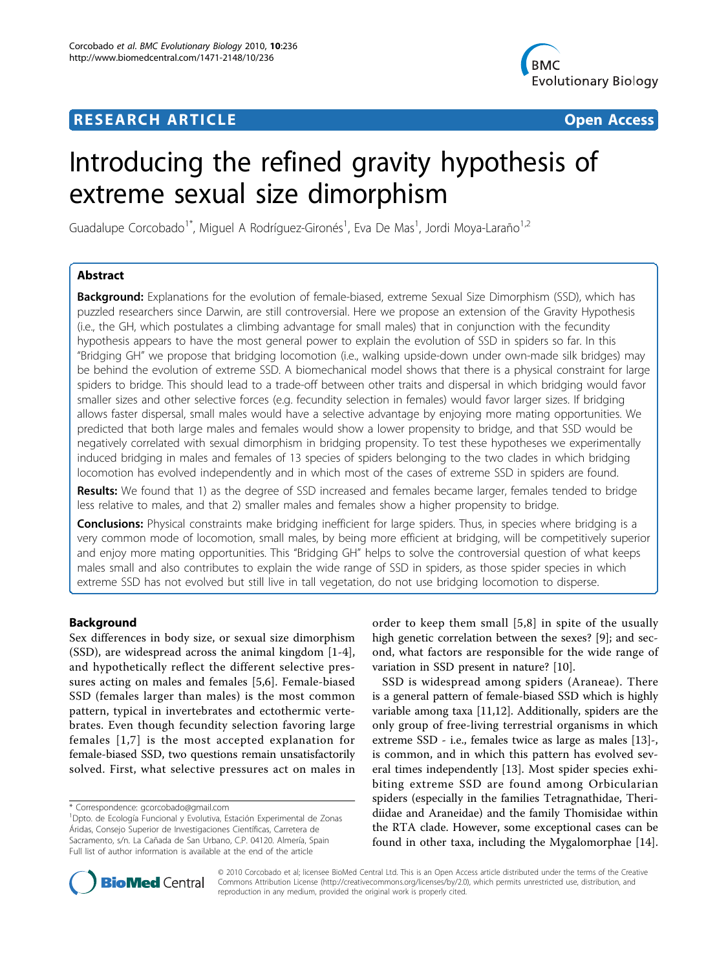# **RESEARCH ARTICLE Example 2018 12:30 THE Open Access**



# Introducing the refined gravity hypothesis of extreme sexual size dimorphism

Guadalupe Corcobado<sup>1\*</sup>, Miguel A Rodríguez-Gironés<sup>1</sup>, Eva De Mas<sup>1</sup>, Jordi Moya-Laraño<sup>1,2</sup>

## Abstract

**Background:** Explanations for the evolution of female-biased, extreme Sexual Size Dimorphism (SSD), which has puzzled researchers since Darwin, are still controversial. Here we propose an extension of the Gravity Hypothesis (i.e., the GH, which postulates a climbing advantage for small males) that in conjunction with the fecundity hypothesis appears to have the most general power to explain the evolution of SSD in spiders so far. In this "Bridging GH" we propose that bridging locomotion (i.e., walking upside-down under own-made silk bridges) may be behind the evolution of extreme SSD. A biomechanical model shows that there is a physical constraint for large spiders to bridge. This should lead to a trade-off between other traits and dispersal in which bridging would favor smaller sizes and other selective forces (e.g. fecundity selection in females) would favor larger sizes. If bridging allows faster dispersal, small males would have a selective advantage by enjoying more mating opportunities. We predicted that both large males and females would show a lower propensity to bridge, and that SSD would be negatively correlated with sexual dimorphism in bridging propensity. To test these hypotheses we experimentally induced bridging in males and females of 13 species of spiders belonging to the two clades in which bridging locomotion has evolved independently and in which most of the cases of extreme SSD in spiders are found.

Results: We found that 1) as the degree of SSD increased and females became larger, females tended to bridge less relative to males, and that 2) smaller males and females show a higher propensity to bridge.

Conclusions: Physical constraints make bridging inefficient for large spiders. Thus, in species where bridging is a very common mode of locomotion, small males, by being more efficient at bridging, will be competitively superior and enjoy more mating opportunities. This "Bridging GH" helps to solve the controversial question of what keeps males small and also contributes to explain the wide range of SSD in spiders, as those spider species in which extreme SSD has not evolved but still live in tall vegetation, do not use bridging locomotion to disperse.

## Background

Sex differences in body size, or sexual size dimorphism (SSD), are widespread across the animal kingdom [[1-4](#page-11-0)], and hypothetically reflect the different selective pressures acting on males and females [\[5,6\]](#page-11-0). Female-biased SSD (females larger than males) is the most common pattern, typical in invertebrates and ectothermic vertebrates. Even though fecundity selection favoring large females [[1,7\]](#page-11-0) is the most accepted explanation for female-biased SSD, two questions remain unsatisfactorily solved. First, what selective pressures act on males in

\* Correspondence: [gcorcobado@gmail.com](mailto:gcorcobado@gmail.com)

order to keep them small [[5](#page-11-0),[8](#page-12-0)] in spite of the usually high genetic correlation between the sexes? [[9](#page-12-0)]; and second, what factors are responsible for the wide range of variation in SSD present in nature? [[10\]](#page-12-0).

SSD is widespread among spiders (Araneae). There is a general pattern of female-biased SSD which is highly variable among taxa [\[11,12\]](#page-12-0). Additionally, spiders are the only group of free-living terrestrial organisms in which extreme SSD - i.e., females twice as large as males [[13\]](#page-12-0)-, is common, and in which this pattern has evolved several times independently [[13\]](#page-12-0). Most spider species exhibiting extreme SSD are found among Orbicularian spiders (especially in the families Tetragnathidae, Theridiidae and Araneidae) and the family Thomisidae within the RTA clade. However, some exceptional cases can be found in other taxa, including the Mygalomorphae [\[14](#page-12-0)].



© 2010 Corcobado et al; licensee BioMed Central Ltd. This is an Open Access article distributed under the terms of the Creative Commons Attribution License [\(http://creativecommons.org/licenses/by/2.0](http://creativecommons.org/licenses/by/2.0)), which permits unrestricted use, distribution, and reproduction in any medium, provided the original work is properly cited.

<sup>1</sup> Dpto. de Ecología Funcional y Evolutiva, Estación Experimental de Zonas Áridas, Consejo Superior de Investigaciones Científicas, Carretera de Sacramento, s/n. La Cañada de San Urbano, C.P. 04120. Almería, Spain Full list of author information is available at the end of the article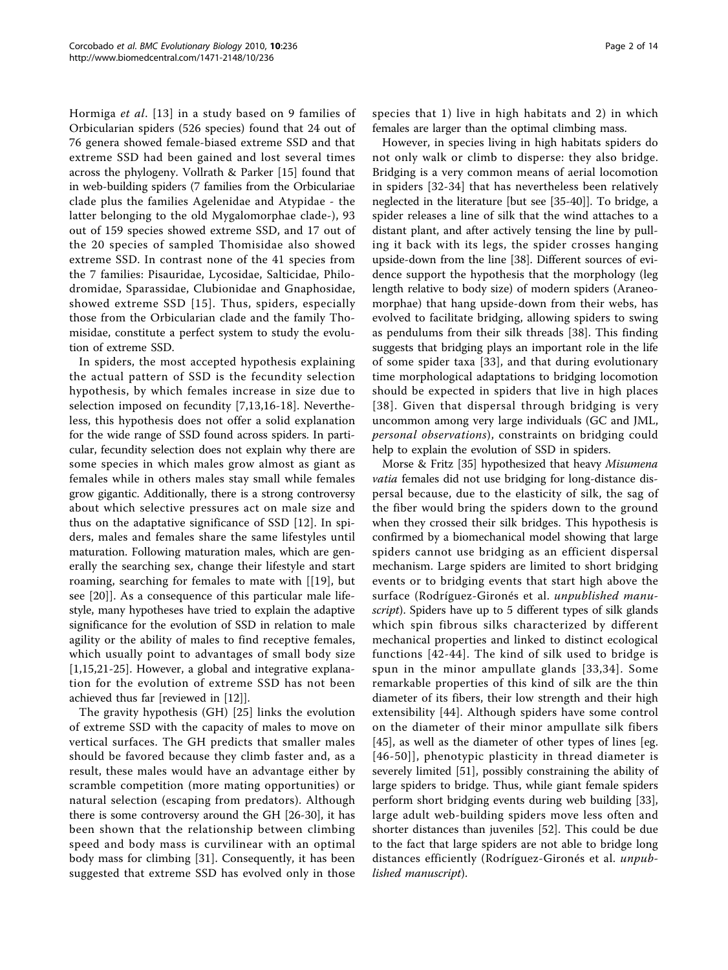Hormiga et al. [[13\]](#page-12-0) in a study based on 9 families of Orbicularian spiders (526 species) found that 24 out of 76 genera showed female-biased extreme SSD and that extreme SSD had been gained and lost several times across the phylogeny. Vollrath & Parker [\[15](#page-12-0)] found that in web-building spiders (7 families from the Orbiculariae clade plus the families Agelenidae and Atypidae - the latter belonging to the old Mygalomorphae clade-), 93 out of 159 species showed extreme SSD, and 17 out of the 20 species of sampled Thomisidae also showed extreme SSD. In contrast none of the 41 species from the 7 families: Pisauridae, Lycosidae, Salticidae, Philodromidae, Sparassidae, Clubionidae and Gnaphosidae, showed extreme SSD [[15](#page-12-0)]. Thus, spiders, especially those from the Orbicularian clade and the family Thomisidae, constitute a perfect system to study the evolution of extreme SSD.

In spiders, the most accepted hypothesis explaining the actual pattern of SSD is the fecundity selection hypothesis, by which females increase in size due to selection imposed on fecundity [[7](#page-11-0)[,13](#page-12-0),[16-18\]](#page-12-0). Nevertheless, this hypothesis does not offer a solid explanation for the wide range of SSD found across spiders. In particular, fecundity selection does not explain why there are some species in which males grow almost as giant as females while in others males stay small while females grow gigantic. Additionally, there is a strong controversy about which selective pressures act on male size and thus on the adaptative significance of SSD [[12\]](#page-12-0). In spiders, males and females share the same lifestyles until maturation. Following maturation males, which are generally the searching sex, change their lifestyle and start roaming, searching for females to mate with [[\[19](#page-12-0)], but see [\[20](#page-12-0)]]. As a consequence of this particular male lifestyle, many hypotheses have tried to explain the adaptive significance for the evolution of SSD in relation to male agility or the ability of males to find receptive females, which usually point to advantages of small body size [[1,](#page-11-0)[15,21](#page-12-0)-[25\]](#page-12-0). However, a global and integrative explanation for the evolution of extreme SSD has not been achieved thus far [reviewed in [\[12](#page-12-0)]].

The gravity hypothesis (GH) [[25\]](#page-12-0) links the evolution of extreme SSD with the capacity of males to move on vertical surfaces. The GH predicts that smaller males should be favored because they climb faster and, as a result, these males would have an advantage either by scramble competition (more mating opportunities) or natural selection (escaping from predators). Although there is some controversy around the GH [\[26-30](#page-12-0)], it has been shown that the relationship between climbing speed and body mass is curvilinear with an optimal body mass for climbing [[31\]](#page-12-0). Consequently, it has been suggested that extreme SSD has evolved only in those species that 1) live in high habitats and 2) in which females are larger than the optimal climbing mass.

However, in species living in high habitats spiders do not only walk or climb to disperse: they also bridge. Bridging is a very common means of aerial locomotion in spiders [\[32](#page-12-0)-[34](#page-12-0)] that has nevertheless been relatively neglected in the literature [but see [\[35](#page-12-0)-[40\]](#page-12-0)]. To bridge, a spider releases a line of silk that the wind attaches to a distant plant, and after actively tensing the line by pulling it back with its legs, the spider crosses hanging upside-down from the line [[38\]](#page-12-0). Different sources of evidence support the hypothesis that the morphology (leg length relative to body size) of modern spiders (Araneomorphae) that hang upside-down from their webs, has evolved to facilitate bridging, allowing spiders to swing as pendulums from their silk threads [\[38](#page-12-0)]. This finding suggests that bridging plays an important role in the life of some spider taxa [[33](#page-12-0)], and that during evolutionary time morphological adaptations to bridging locomotion should be expected in spiders that live in high places [[38](#page-12-0)]. Given that dispersal through bridging is very uncommon among very large individuals (GC and JML, personal observations), constraints on bridging could help to explain the evolution of SSD in spiders.

Morse & Fritz [[35](#page-12-0)] hypothesized that heavy Misumena vatia females did not use bridging for long-distance dispersal because, due to the elasticity of silk, the sag of the fiber would bring the spiders down to the ground when they crossed their silk bridges. This hypothesis is confirmed by a biomechanical model showing that large spiders cannot use bridging as an efficient dispersal mechanism. Large spiders are limited to short bridging events or to bridging events that start high above the surface (Rodríguez-Gironés et al. unpublished manuscript). Spiders have up to 5 different types of silk glands which spin fibrous silks characterized by different mechanical properties and linked to distinct ecological functions [[42-44](#page-12-0)]. The kind of silk used to bridge is spun in the minor ampullate glands [[33,34\]](#page-12-0). Some remarkable properties of this kind of silk are the thin diameter of its fibers, their low strength and their high extensibility [[44](#page-12-0)]. Although spiders have some control on the diameter of their minor ampullate silk fibers [[45\]](#page-12-0), as well as the diameter of other types of lines [eg. [[46-50\]](#page-12-0)], phenotypic plasticity in thread diameter is severely limited [\[51](#page-12-0)], possibly constraining the ability of large spiders to bridge. Thus, while giant female spiders perform short bridging events during web building [\[33](#page-12-0)], large adult web-building spiders move less often and shorter distances than juveniles [[52](#page-12-0)]. This could be due to the fact that large spiders are not able to bridge long distances efficiently (Rodríguez-Gironés et al. unpublished manuscript).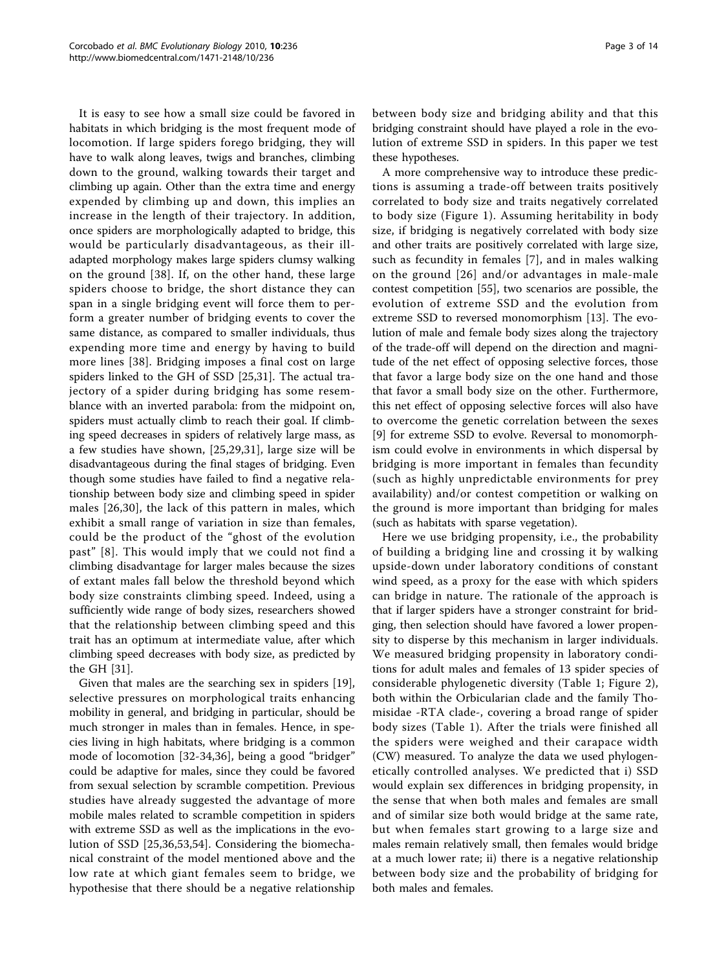It is easy to see how a small size could be favored in habitats in which bridging is the most frequent mode of locomotion. If large spiders forego bridging, they will have to walk along leaves, twigs and branches, climbing down to the ground, walking towards their target and climbing up again. Other than the extra time and energy expended by climbing up and down, this implies an increase in the length of their trajectory. In addition, once spiders are morphologically adapted to bridge, this would be particularly disadvantageous, as their illadapted morphology makes large spiders clumsy walking on the ground [\[38\]](#page-12-0). If, on the other hand, these large spiders choose to bridge, the short distance they can span in a single bridging event will force them to perform a greater number of bridging events to cover the same distance, as compared to smaller individuals, thus expending more time and energy by having to build more lines [[38\]](#page-12-0). Bridging imposes a final cost on large spiders linked to the GH of SSD [\[25,31\]](#page-12-0). The actual trajectory of a spider during bridging has some resemblance with an inverted parabola: from the midpoint on, spiders must actually climb to reach their goal. If climbing speed decreases in spiders of relatively large mass, as a few studies have shown, [[25,29](#page-12-0),[31\]](#page-12-0), large size will be disadvantageous during the final stages of bridging. Even though some studies have failed to find a negative relationship between body size and climbing speed in spider males [[26](#page-12-0),[30\]](#page-12-0), the lack of this pattern in males, which exhibit a small range of variation in size than females, could be the product of the "ghost of the evolution past" [[8\]](#page-12-0). This would imply that we could not find a climbing disadvantage for larger males because the sizes of extant males fall below the threshold beyond which body size constraints climbing speed. Indeed, using a sufficiently wide range of body sizes, researchers showed that the relationship between climbing speed and this trait has an optimum at intermediate value, after which climbing speed decreases with body size, as predicted by the GH [[31\]](#page-12-0).

Given that males are the searching sex in spiders [\[19](#page-12-0)], selective pressures on morphological traits enhancing mobility in general, and bridging in particular, should be much stronger in males than in females. Hence, in species living in high habitats, where bridging is a common mode of locomotion [[32-34,36\]](#page-12-0), being a good "bridger" could be adaptive for males, since they could be favored from sexual selection by scramble competition. Previous studies have already suggested the advantage of more mobile males related to scramble competition in spiders with extreme SSD as well as the implications in the evolution of SSD [[25,36,53,54](#page-12-0)]. Considering the biomechanical constraint of the model mentioned above and the low rate at which giant females seem to bridge, we hypothesise that there should be a negative relationship between body size and bridging ability and that this bridging constraint should have played a role in the evolution of extreme SSD in spiders. In this paper we test these hypotheses.

A more comprehensive way to introduce these predictions is assuming a trade-off between traits positively correlated to body size and traits negatively correlated to body size (Figure [1](#page-3-0)). Assuming heritability in body size, if bridging is negatively correlated with body size and other traits are positively correlated with large size, such as fecundity in females [\[7](#page-11-0)], and in males walking on the ground [[26](#page-12-0)] and/or advantages in male-male contest competition [[55](#page-12-0)], two scenarios are possible, the evolution of extreme SSD and the evolution from extreme SSD to reversed monomorphism [[13\]](#page-12-0). The evolution of male and female body sizes along the trajectory of the trade-off will depend on the direction and magnitude of the net effect of opposing selective forces, those that favor a large body size on the one hand and those that favor a small body size on the other. Furthermore, this net effect of opposing selective forces will also have to overcome the genetic correlation between the sexes [[9\]](#page-12-0) for extreme SSD to evolve. Reversal to monomorphism could evolve in environments in which dispersal by bridging is more important in females than fecundity (such as highly unpredictable environments for prey availability) and/or contest competition or walking on the ground is more important than bridging for males (such as habitats with sparse vegetation).

Here we use bridging propensity, i.e., the probability of building a bridging line and crossing it by walking upside-down under laboratory conditions of constant wind speed, as a proxy for the ease with which spiders can bridge in nature. The rationale of the approach is that if larger spiders have a stronger constraint for bridging, then selection should have favored a lower propensity to disperse by this mechanism in larger individuals. We measured bridging propensity in laboratory conditions for adult males and females of 13 spider species of considerable phylogenetic diversity (Table [1](#page-4-0); Figure [2](#page-4-0)), both within the Orbicularian clade and the family Thomisidae -RTA clade-, covering a broad range of spider body sizes (Table [1](#page-4-0)). After the trials were finished all the spiders were weighed and their carapace width (CW) measured. To analyze the data we used phylogenetically controlled analyses. We predicted that i) SSD would explain sex differences in bridging propensity, in the sense that when both males and females are small and of similar size both would bridge at the same rate, but when females start growing to a large size and males remain relatively small, then females would bridge at a much lower rate; ii) there is a negative relationship between body size and the probability of bridging for both males and females.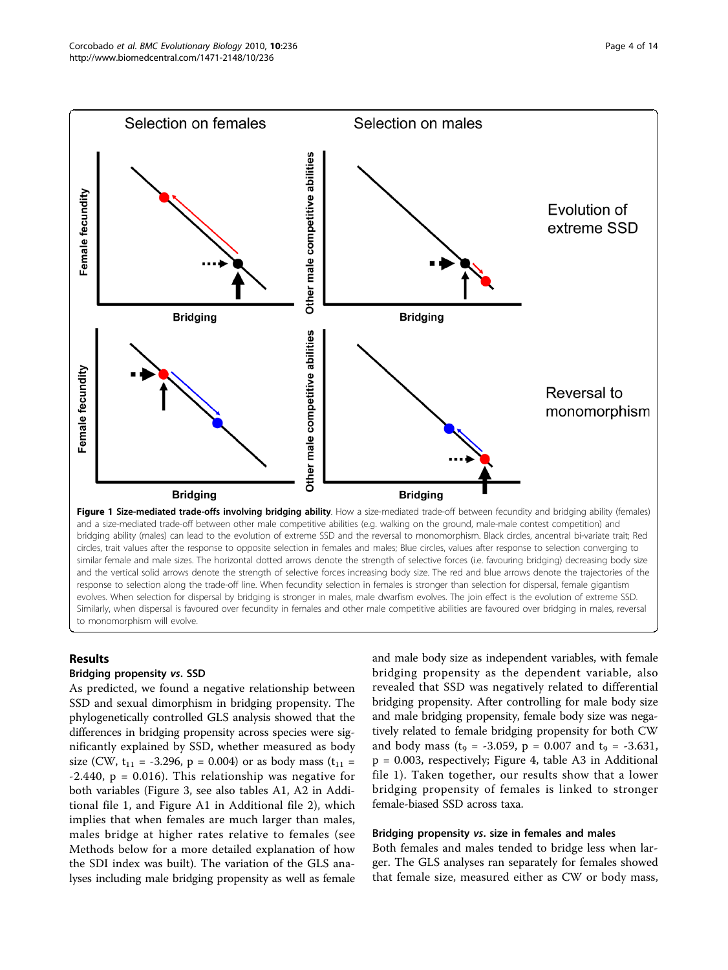<span id="page-3-0"></span>

#### Results

#### Bridging propensity vs. SSD

As predicted, we found a negative relationship between SSD and sexual dimorphism in bridging propensity. The phylogenetically controlled GLS analysis showed that the differences in bridging propensity across species were significantly explained by SSD, whether measured as body size (CW,  $t_{11} = -3.296$ ,  $p = 0.004$ ) or as body mass ( $t_{11} =$  $-2.440$ ,  $p = 0.016$ . This relationship was negative for both variables (Figure [3](#page-5-0), see also tables A1, A2 in Additional file [1,](#page-11-0) and Figure A1 in Additional file [2\)](#page-11-0), which implies that when females are much larger than males, males bridge at higher rates relative to females (see Methods below for a more detailed explanation of how the SDI index was built). The variation of the GLS analyses including male bridging propensity as well as female

and male body size as independent variables, with female bridging propensity as the dependent variable, also revealed that SSD was negatively related to differential bridging propensity. After controlling for male body size and male bridging propensity, female body size was negatively related to female bridging propensity for both CW and body mass ( $t_9 = -3.059$ ,  $p = 0.007$  and  $t_9 = -3.631$ , p = 0.003, respectively; Figure [4,](#page-5-0) table A3 in Additional file [1](#page-11-0)). Taken together, our results show that a lower bridging propensity of females is linked to stronger female-biased SSD across taxa.

#### Bridging propensity vs. size in females and males

Both females and males tended to bridge less when larger. The GLS analyses ran separately for females showed that female size, measured either as CW or body mass,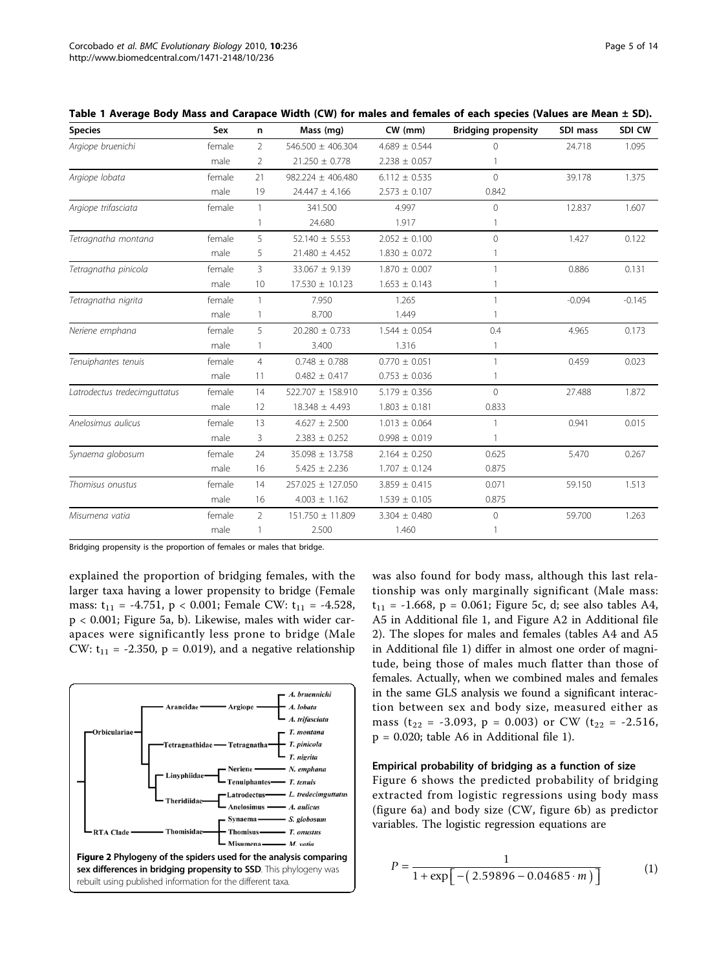| <b>Species</b>               | Sex    | n              | Mass (mg)             | $CW$ (mm)         | <b>Bridging propensity</b> | SDI mass | SDI CW   |
|------------------------------|--------|----------------|-----------------------|-------------------|----------------------------|----------|----------|
| Argiope bruenichi            | female | $\overline{2}$ | $546.500 \pm 406.304$ | $4.689 \pm 0.544$ | 0                          | 24.718   | 1.095    |
|                              | male   | 2              | $21.250 \pm 0.778$    | $2.238 \pm 0.057$ | 1                          |          |          |
| Argiope lobata               | female | 21             | $982.224 \pm 406.480$ | $6.112 \pm 0.535$ | $\Omega$                   | 39.178   | 1.375    |
|                              | male   | 19             | $24.447 \pm 4.166$    | $2.573 \pm 0.107$ | 0.842                      |          |          |
| Argiope trifasciata          | female | $\mathbf{1}$   | 341.500               | 4.997             | $\Omega$                   | 12.837   | 1.607    |
|                              |        | $\mathbf{1}$   | 24.680                | 1.917             | 1                          |          |          |
| Tetragnatha montana          | female | 5              | $52.140 \pm 5.553$    | $2.052 \pm 0.100$ | $\circ$                    | 1.427    | 0.122    |
|                              | male   | 5              | $21.480 \pm 4.452$    | $1.830 \pm 0.072$ | 1                          |          |          |
| Tetragnatha pinicola         | female | 3              | $33.067 \pm 9.139$    | $1.870 \pm 0.007$ | 1                          | 0.886    | 0.131    |
|                              | male   | 10             | $17.530 \pm 10.123$   | $1.653 \pm 0.143$ | 1                          |          |          |
| Tetragnatha nigrita          | female | $\mathbf{1}$   | 7.950                 | 1.265             | $\mathbf{1}$               | $-0.094$ | $-0.145$ |
|                              | male   | 1              | 8.700                 | 1.449             | $\mathbf{1}$               |          |          |
| Neriene emphana              | female | 5              | $20.280 \pm 0.733$    | $1.544 \pm 0.054$ | 0.4                        | 4.965    | 0.173    |
|                              | male   | $\mathbf{1}$   | 3.400                 | 1.316             | 1                          |          |          |
| Tenuiphantes tenuis          | female | $\overline{4}$ | $0.748 \pm 0.788$     | $0.770 \pm 0.051$ | $\mathbf{1}$               | 0.459    | 0.023    |
|                              | male   | 11             | $0.482 \pm 0.417$     | $0.753 \pm 0.036$ | 1                          |          |          |
| Latrodectus tredecimquttatus | female | 14             | 522.707 ± 158.910     | $5.179 \pm 0.356$ | $\Omega$                   | 27.488   | 1.872    |
|                              | male   | 12             | $18.348 \pm 4.493$    | $1.803 \pm 0.181$ | 0.833                      |          |          |
| Anelosimus aulicus           | female | 13             | $4.627 \pm 2.500$     | $1.013 \pm 0.064$ | $\mathbf{1}$               | 0.941    | 0.015    |
|                              | male   | 3              | $2.383 \pm 0.252$     | $0.998 \pm 0.019$ | 1                          |          |          |
| Synaema globosum             | female | 24             | 35.098 ± 13.758       | $2.164 \pm 0.250$ | 0.625                      | 5.470    | 0.267    |
|                              | male   | 16             | $5.425 \pm 2.236$     | $1.707 \pm 0.124$ | 0.875                      |          |          |
| Thomisus onustus             | female | 14             | 257.025 ± 127.050     | $3.859 \pm 0.415$ | 0.071                      | 59.150   | 1.513    |
|                              | male   | 16             | $4.003 \pm 1.162$     | $1.539 \pm 0.105$ | 0.875                      |          |          |
| Misumena vatia               | female | $\overline{2}$ | 151.750 ± 11.809      | $3.304 \pm 0.480$ | 0                          | 59.700   | 1.263    |
|                              | male   | 1              | 2.500                 | 1.460             | 1                          |          |          |

<span id="page-4-0"></span>Table 1 Average Body Mass and Carapace Width (CW) for males and females of each species (Values are Mean ± SD).

Bridging propensity is the proportion of females or males that bridge.

explained the proportion of bridging females, with the larger taxa having a lower propensity to bridge (Female mass:  $t_{11} = -4.751$ , p < 0.001; Female CW:  $t_{11} = -4.528$ , p < 0.001; Figure [5a, b\)](#page-6-0). Likewise, males with wider carapaces were significantly less prone to bridge (Male CW:  $t_{11}$  = -2.350, p = 0.019), and a negative relationship



was also found for body mass, although this last relationship was only marginally significant (Male mass:  $t_{11}$  = -1.668, p = 0.061; Figure [5c, d;](#page-6-0) see also tables A4, A5 in Additional file [1](#page-11-0), and Figure A2 in Additional file [2\)](#page-11-0). The slopes for males and females (tables A4 and A5 in Additional file [1\)](#page-11-0) differ in almost one order of magnitude, being those of males much flatter than those of females. Actually, when we combined males and females in the same GLS analysis we found a significant interaction between sex and body size, measured either as mass ( $t_{22}$  = -3.093, p = 0.003) or CW ( $t_{22}$  = -2.516,  $p = 0.020$ ; table A6 in Additional file [1\)](#page-11-0).

#### Empirical probability of bridging as a function of size

Figure [6](#page-7-0) shows the predicted probability of bridging extracted from logistic regressions using body mass (figure [6a](#page-7-0)) and body size (CW, figure [6b\)](#page-7-0) as predictor variables. The logistic regression equations are

$$
P = \frac{1}{1 + \exp[-(2.59896 - 0.04685 \cdot m)]}
$$
 (1)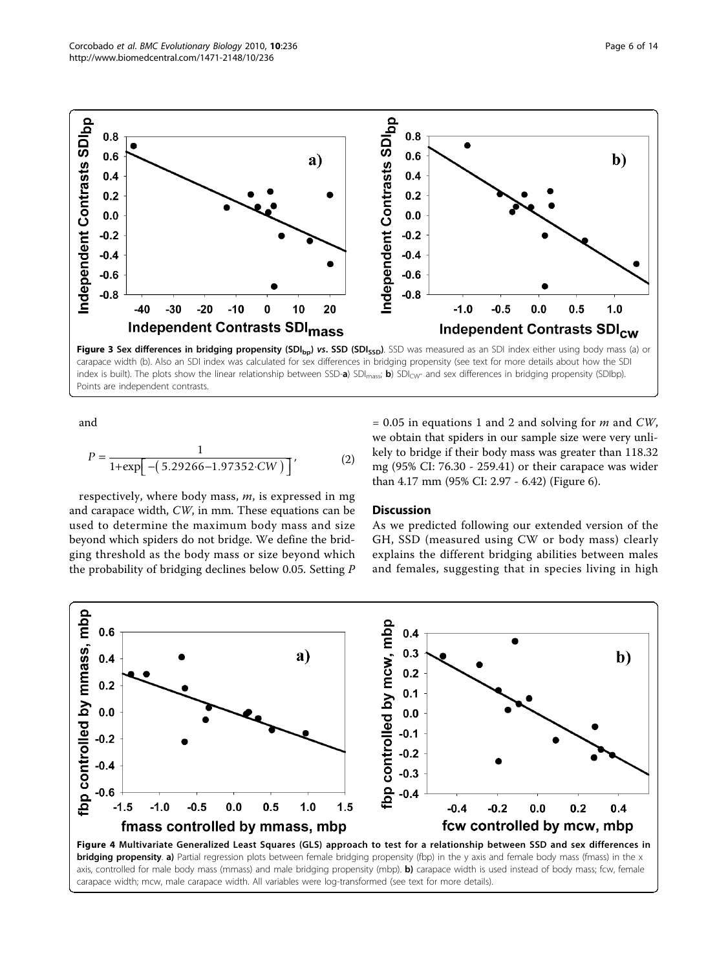<span id="page-5-0"></span>

Points are independent contrasts.

and

$$
P = \frac{1}{1 + \exp[-(5.29266 - 1.97352 \cdot CW)]},
$$
 (2)

respectively, where body mass,  $m$ , is expressed in mg and carapace width, CW, in mm. These equations can be used to determine the maximum body mass and size beyond which spiders do not bridge. We define the bridging threshold as the body mass or size beyond which the probability of bridging declines below 0.05. Setting P

 $= 0.05$  in equations 1 and 2 and solving for *m* and *CW*, we obtain that spiders in our sample size were very unlikely to bridge if their body mass was greater than 118.32 mg (95% CI: 76.30 - 259.41) or their carapace was wider than 4.17 mm (95% CI: 2.97 - 6.42) (Figure [6](#page-7-0)).

#### **Discussion**

As we predicted following our extended version of the GH, SSD (measured using CW or body mass) clearly explains the different bridging abilities between males and females, suggesting that in species living in high

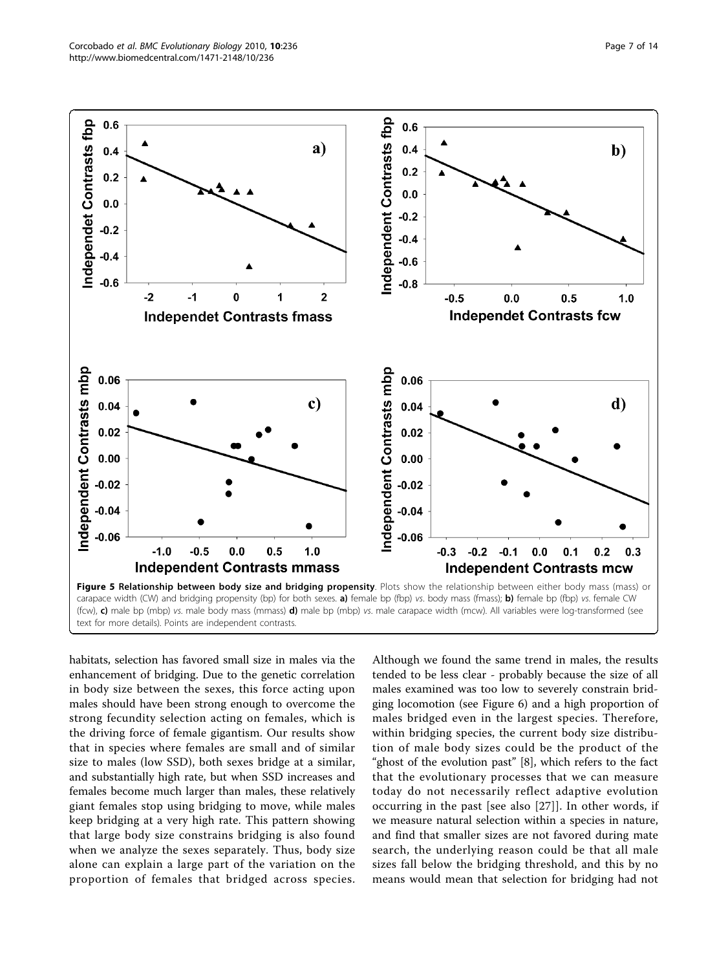<span id="page-6-0"></span>

habitats, selection has favored small size in males via the enhancement of bridging. Due to the genetic correlation in body size between the sexes, this force acting upon males should have been strong enough to overcome the strong fecundity selection acting on females, which is the driving force of female gigantism. Our results show that in species where females are small and of similar size to males (low SSD), both sexes bridge at a similar, and substantially high rate, but when SSD increases and females become much larger than males, these relatively giant females stop using bridging to move, while males keep bridging at a very high rate. This pattern showing that large body size constrains bridging is also found when we analyze the sexes separately. Thus, body size alone can explain a large part of the variation on the proportion of females that bridged across species.

Although we found the same trend in males, the results tended to be less clear - probably because the size of all males examined was too low to severely constrain bridging locomotion (see Figure [6\)](#page-7-0) and a high proportion of males bridged even in the largest species. Therefore, within bridging species, the current body size distribution of male body sizes could be the product of the "ghost of the evolution past" [[8\]](#page-12-0), which refers to the fact that the evolutionary processes that we can measure today do not necessarily reflect adaptive evolution occurring in the past [see also [[27](#page-12-0)]]. In other words, if we measure natural selection within a species in nature, and find that smaller sizes are not favored during mate search, the underlying reason could be that all male sizes fall below the bridging threshold, and this by no means would mean that selection for bridging had not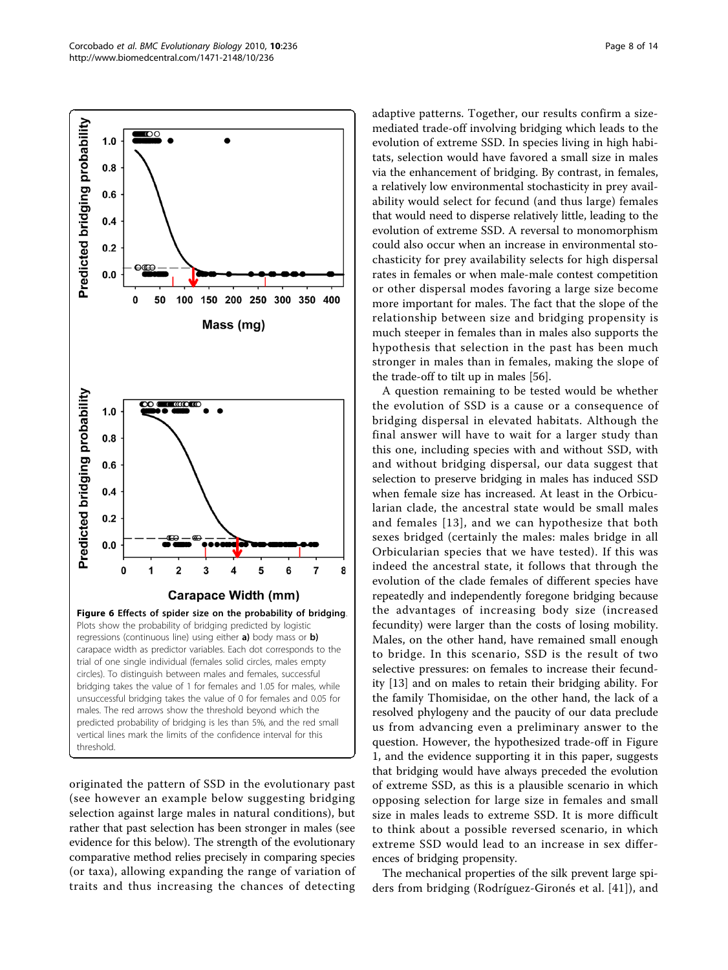<span id="page-7-0"></span>

originated the pattern of SSD in the evolutionary past (see however an example below suggesting bridging selection against large males in natural conditions), but rather that past selection has been stronger in males (see evidence for this below). The strength of the evolutionary comparative method relies precisely in comparing species (or taxa), allowing expanding the range of variation of traits and thus increasing the chances of detecting adaptive patterns. Together, our results confirm a sizemediated trade-off involving bridging which leads to the evolution of extreme SSD. In species living in high habitats, selection would have favored a small size in males via the enhancement of bridging. By contrast, in females, a relatively low environmental stochasticity in prey availability would select for fecund (and thus large) females that would need to disperse relatively little, leading to the evolution of extreme SSD. A reversal to monomorphism could also occur when an increase in environmental stochasticity for prey availability selects for high dispersal rates in females or when male-male contest competition or other dispersal modes favoring a large size become more important for males. The fact that the slope of the relationship between size and bridging propensity is much steeper in females than in males also supports the hypothesis that selection in the past has been much stronger in males than in females, making the slope of the trade-off to tilt up in males [\[56\]](#page-12-0).

A question remaining to be tested would be whether the evolution of SSD is a cause or a consequence of bridging dispersal in elevated habitats. Although the final answer will have to wait for a larger study than this one, including species with and without SSD, with and without bridging dispersal, our data suggest that selection to preserve bridging in males has induced SSD when female size has increased. At least in the Orbicularian clade, the ancestral state would be small males and females [\[13](#page-12-0)], and we can hypothesize that both sexes bridged (certainly the males: males bridge in all Orbicularian species that we have tested). If this was indeed the ancestral state, it follows that through the evolution of the clade females of different species have repeatedly and independently foregone bridging because the advantages of increasing body size (increased fecundity) were larger than the costs of losing mobility. Males, on the other hand, have remained small enough to bridge. In this scenario, SSD is the result of two selective pressures: on females to increase their fecundity [\[13](#page-12-0)] and on males to retain their bridging ability. For the family Thomisidae, on the other hand, the lack of a resolved phylogeny and the paucity of our data preclude us from advancing even a preliminary answer to the question. However, the hypothesized trade-off in Figure [1,](#page-3-0) and the evidence supporting it in this paper, suggests that bridging would have always preceded the evolution of extreme SSD, as this is a plausible scenario in which opposing selection for large size in females and small size in males leads to extreme SSD. It is more difficult to think about a possible reversed scenario, in which extreme SSD would lead to an increase in sex differences of bridging propensity.

The mechanical properties of the silk prevent large spiders from bridging (Rodríguez-Gironés et al. [[41](#page-12-0)]), and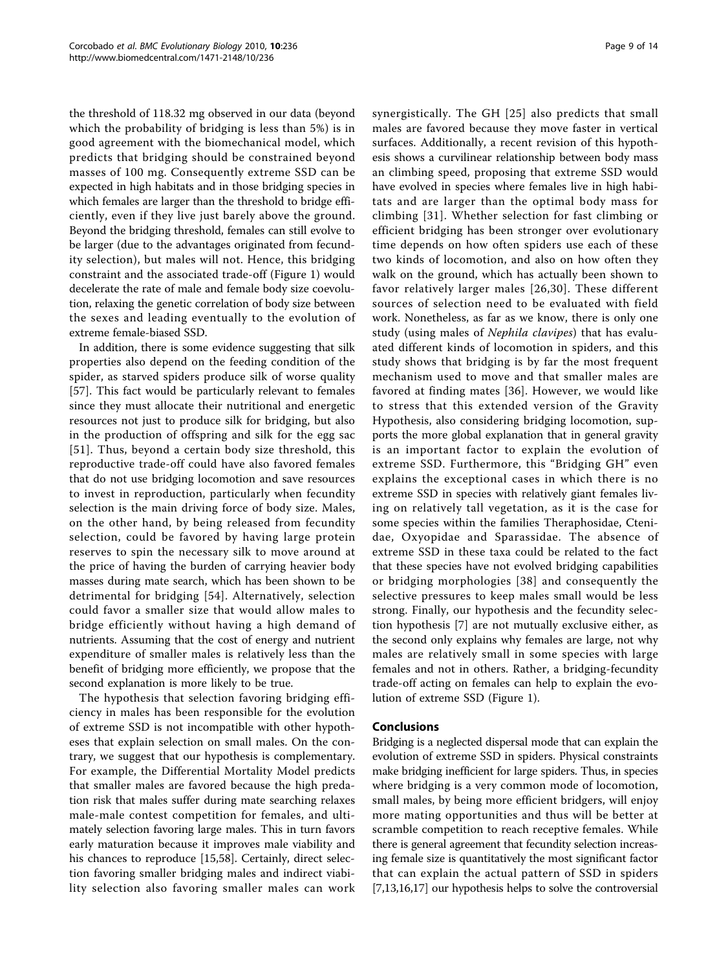the threshold of 118.32 mg observed in our data (beyond which the probability of bridging is less than 5%) is in good agreement with the biomechanical model, which predicts that bridging should be constrained beyond masses of 100 mg. Consequently extreme SSD can be expected in high habitats and in those bridging species in which females are larger than the threshold to bridge efficiently, even if they live just barely above the ground. Beyond the bridging threshold, females can still evolve to be larger (due to the advantages originated from fecundity selection), but males will not. Hence, this bridging constraint and the associated trade-off (Figure [1\)](#page-3-0) would decelerate the rate of male and female body size coevolution, relaxing the genetic correlation of body size between the sexes and leading eventually to the evolution of extreme female-biased SSD.

In addition, there is some evidence suggesting that silk properties also depend on the feeding condition of the spider, as starved spiders produce silk of worse quality [[57\]](#page-12-0). This fact would be particularly relevant to females since they must allocate their nutritional and energetic resources not just to produce silk for bridging, but also in the production of offspring and silk for the egg sac [[51](#page-12-0)]. Thus, beyond a certain body size threshold, this reproductive trade-off could have also favored females that do not use bridging locomotion and save resources to invest in reproduction, particularly when fecundity selection is the main driving force of body size. Males, on the other hand, by being released from fecundity selection, could be favored by having large protein reserves to spin the necessary silk to move around at the price of having the burden of carrying heavier body masses during mate search, which has been shown to be detrimental for bridging [[54\]](#page-12-0). Alternatively, selection could favor a smaller size that would allow males to bridge efficiently without having a high demand of nutrients. Assuming that the cost of energy and nutrient expenditure of smaller males is relatively less than the benefit of bridging more efficiently, we propose that the second explanation is more likely to be true.

The hypothesis that selection favoring bridging efficiency in males has been responsible for the evolution of extreme SSD is not incompatible with other hypotheses that explain selection on small males. On the contrary, we suggest that our hypothesis is complementary. For example, the Differential Mortality Model predicts that smaller males are favored because the high predation risk that males suffer during mate searching relaxes male-male contest competition for females, and ultimately selection favoring large males. This in turn favors early maturation because it improves male viability and his chances to reproduce [[15,58\]](#page-12-0). Certainly, direct selection favoring smaller bridging males and indirect viability selection also favoring smaller males can work synergistically. The GH [[25](#page-12-0)] also predicts that small males are favored because they move faster in vertical surfaces. Additionally, a recent revision of this hypothesis shows a curvilinear relationship between body mass an climbing speed, proposing that extreme SSD would have evolved in species where females live in high habitats and are larger than the optimal body mass for climbing [[31\]](#page-12-0). Whether selection for fast climbing or efficient bridging has been stronger over evolutionary time depends on how often spiders use each of these two kinds of locomotion, and also on how often they walk on the ground, which has actually been shown to favor relatively larger males [[26,30\]](#page-12-0). These different sources of selection need to be evaluated with field work. Nonetheless, as far as we know, there is only one study (using males of Nephila clavipes) that has evaluated different kinds of locomotion in spiders, and this study shows that bridging is by far the most frequent mechanism used to move and that smaller males are favored at finding mates [[36](#page-12-0)]. However, we would like to stress that this extended version of the Gravity Hypothesis, also considering bridging locomotion, supports the more global explanation that in general gravity is an important factor to explain the evolution of extreme SSD. Furthermore, this "Bridging GH" even explains the exceptional cases in which there is no extreme SSD in species with relatively giant females living on relatively tall vegetation, as it is the case for some species within the families Theraphosidae, Ctenidae, Oxyopidae and Sparassidae. The absence of extreme SSD in these taxa could be related to the fact that these species have not evolved bridging capabilities or bridging morphologies [[38](#page-12-0)] and consequently the selective pressures to keep males small would be less strong. Finally, our hypothesis and the fecundity selection hypothesis [\[7](#page-11-0)] are not mutually exclusive either, as the second only explains why females are large, not why males are relatively small in some species with large females and not in others. Rather, a bridging-fecundity trade-off acting on females can help to explain the evolution of extreme SSD (Figure [1\)](#page-3-0).

## Conclusions

Bridging is a neglected dispersal mode that can explain the evolution of extreme SSD in spiders. Physical constraints make bridging inefficient for large spiders. Thus, in species where bridging is a very common mode of locomotion, small males, by being more efficient bridgers, will enjoy more mating opportunities and thus will be better at scramble competition to reach receptive females. While there is general agreement that fecundity selection increasing female size is quantitatively the most significant factor that can explain the actual pattern of SSD in spiders [[7,](#page-11-0)[13,16,17\]](#page-12-0) our hypothesis helps to solve the controversial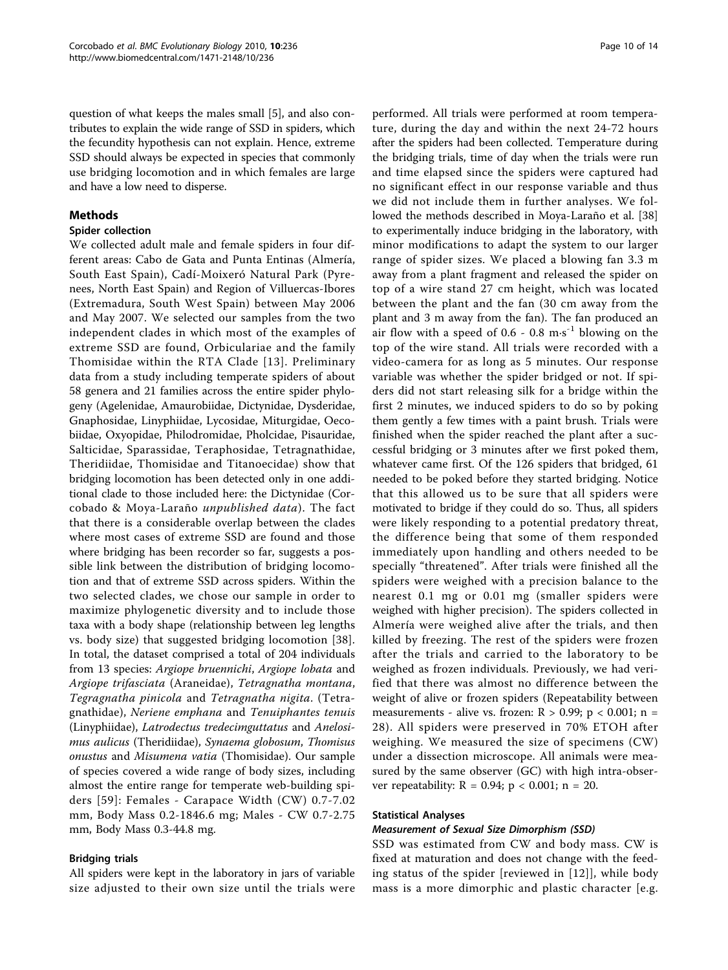question of what keeps the males small [[5](#page-11-0)], and also contributes to explain the wide range of SSD in spiders, which the fecundity hypothesis can not explain. Hence, extreme SSD should always be expected in species that commonly use bridging locomotion and in which females are large and have a low need to disperse.

## Methods

## Spider collection

We collected adult male and female spiders in four different areas: Cabo de Gata and Punta Entinas (Almería, South East Spain), Cadí-Moixeró Natural Park (Pyrenees, North East Spain) and Region of Villuercas-Ibores (Extremadura, South West Spain) between May 2006 and May 2007. We selected our samples from the two independent clades in which most of the examples of extreme SSD are found, Orbiculariae and the family Thomisidae within the RTA Clade [[13](#page-12-0)]. Preliminary data from a study including temperate spiders of about 58 genera and 21 families across the entire spider phylogeny (Agelenidae, Amaurobiidae, Dictynidae, Dysderidae, Gnaphosidae, Linyphiidae, Lycosidae, Miturgidae, Oecobiidae, Oxyopidae, Philodromidae, Pholcidae, Pisauridae, Salticidae, Sparassidae, Teraphosidae, Tetragnathidae, Theridiidae, Thomisidae and Titanoecidae) show that bridging locomotion has been detected only in one additional clade to those included here: the Dictynidae (Corcobado & Moya-Laraño unpublished data). The fact that there is a considerable overlap between the clades where most cases of extreme SSD are found and those where bridging has been recorder so far, suggests a possible link between the distribution of bridging locomotion and that of extreme SSD across spiders. Within the two selected clades, we chose our sample in order to maximize phylogenetic diversity and to include those taxa with a body shape (relationship between leg lengths vs. body size) that suggested bridging locomotion [[38](#page-12-0)]. In total, the dataset comprised a total of 204 individuals from 13 species: Argiope bruennichi, Argiope lobata and Argiope trifasciata (Araneidae), Tetragnatha montana, Tegragnatha pinicola and Tetragnatha nigita. (Tetragnathidae), Neriene emphana and Tenuiphantes tenuis (Linyphiidae), Latrodectus tredecimguttatus and Anelosimus aulicus (Theridiidae), Synaema globosum, Thomisus onustus and Misumena vatia (Thomisidae). Our sample of species covered a wide range of body sizes, including almost the entire range for temperate web-building spiders [[59](#page-12-0)]: Females - Carapace Width (CW) 0.7-7.02 mm, Body Mass 0.2-1846.6 mg; Males - CW 0.7-2.75 mm, Body Mass 0.3-44.8 mg.

## Bridging trials

All spiders were kept in the laboratory in jars of variable size adjusted to their own size until the trials were

performed. All trials were performed at room temperature, during the day and within the next 24-72 hours after the spiders had been collected. Temperature during the bridging trials, time of day when the trials were run and time elapsed since the spiders were captured had no significant effect in our response variable and thus we did not include them in further analyses. We followed the methods described in Moya-Laraño et al. [[38](#page-12-0)] to experimentally induce bridging in the laboratory, with minor modifications to adapt the system to our larger range of spider sizes. We placed a blowing fan 3.3 m away from a plant fragment and released the spider on top of a wire stand 27 cm height, which was located between the plant and the fan (30 cm away from the plant and 3 m away from the fan). The fan produced an air flow with a speed of  $0.6 - 0.8$  m $\cdot$ s<sup>-1</sup> blowing on the top of the wire stand. All trials were recorded with a video-camera for as long as 5 minutes. Our response variable was whether the spider bridged or not. If spiders did not start releasing silk for a bridge within the first 2 minutes, we induced spiders to do so by poking them gently a few times with a paint brush. Trials were finished when the spider reached the plant after a successful bridging or 3 minutes after we first poked them, whatever came first. Of the 126 spiders that bridged, 61 needed to be poked before they started bridging. Notice that this allowed us to be sure that all spiders were motivated to bridge if they could do so. Thus, all spiders were likely responding to a potential predatory threat, the difference being that some of them responded immediately upon handling and others needed to be specially "threatened". After trials were finished all the spiders were weighed with a precision balance to the nearest 0.1 mg or 0.01 mg (smaller spiders were weighed with higher precision). The spiders collected in Almería were weighed alive after the trials, and then killed by freezing. The rest of the spiders were frozen after the trials and carried to the laboratory to be weighed as frozen individuals. Previously, we had verified that there was almost no difference between the weight of alive or frozen spiders (Repeatability between measurements - alive vs. frozen:  $R > 0.99$ ;  $p < 0.001$ ; n = 28). All spiders were preserved in 70% ETOH after weighing. We measured the size of specimens (CW) under a dissection microscope. All animals were measured by the same observer (GC) with high intra-observer repeatability:  $R = 0.94$ ;  $p < 0.001$ ;  $n = 20$ .

#### Statistical Analyses

#### Measurement of Sexual Size Dimorphism (SSD)

SSD was estimated from CW and body mass. CW is fixed at maturation and does not change with the feeding status of the spider [reviewed in [[12](#page-12-0)]], while body mass is a more dimorphic and plastic character [e.g.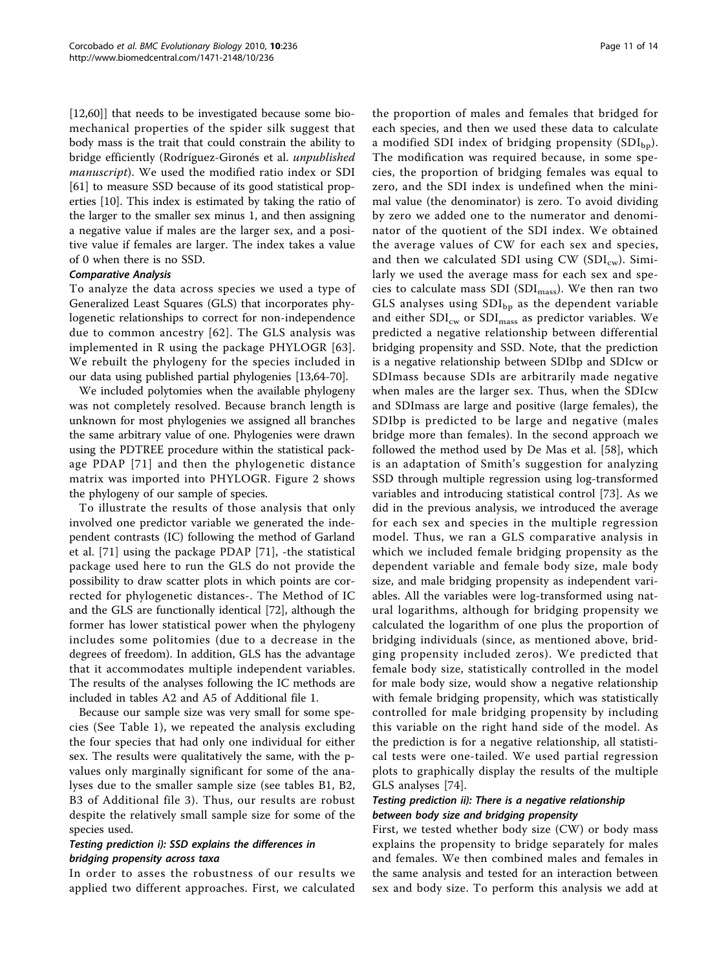[[12,60\]](#page-12-0)] that needs to be investigated because some biomechanical properties of the spider silk suggest that body mass is the trait that could constrain the ability to bridge efficiently (Rodríguez-Gironés et al. unpublished manuscript). We used the modified ratio index or SDI [[61\]](#page-12-0) to measure SSD because of its good statistical properties [\[10\]](#page-12-0). This index is estimated by taking the ratio of the larger to the smaller sex minus 1, and then assigning a negative value if males are the larger sex, and a positive value if females are larger. The index takes a value of 0 when there is no SSD.

## Comparative Analysis

To analyze the data across species we used a type of Generalized Least Squares (GLS) that incorporates phylogenetic relationships to correct for non-independence due to common ancestry [[62\]](#page-12-0). The GLS analysis was implemented in R using the package PHYLOGR [[63](#page-13-0)]. We rebuilt the phylogeny for the species included in our data using published partial phylogenies [[13,](#page-12-0)[64-70\]](#page-13-0).

We included polytomies when the available phylogeny was not completely resolved. Because branch length is unknown for most phylogenies we assigned all branches the same arbitrary value of one. Phylogenies were drawn using the PDTREE procedure within the statistical package PDAP [[71](#page-13-0)] and then the phylogenetic distance matrix was imported into PHYLOGR. Figure [2](#page-4-0) shows the phylogeny of our sample of species.

To illustrate the results of those analysis that only involved one predictor variable we generated the independent contrasts (IC) following the method of Garland et al. [[71](#page-13-0)] using the package PDAP [[71](#page-13-0)], -the statistical package used here to run the GLS do not provide the possibility to draw scatter plots in which points are corrected for phylogenetic distances-. The Method of IC and the GLS are functionally identical [\[72](#page-13-0)], although the former has lower statistical power when the phylogeny includes some politomies (due to a decrease in the degrees of freedom). In addition, GLS has the advantage that it accommodates multiple independent variables. The results of the analyses following the IC methods are included in tables A2 and A5 of Additional file [1.](#page-11-0)

Because our sample size was very small for some species (See Table [1\)](#page-4-0), we repeated the analysis excluding the four species that had only one individual for either sex. The results were qualitatively the same, with the pvalues only marginally significant for some of the analyses due to the smaller sample size (see tables B1, B2, B3 of Additional file [3](#page-11-0)). Thus, our results are robust despite the relatively small sample size for some of the species used.

## Testing prediction i): SSD explains the differences in bridging propensity across taxa

In order to asses the robustness of our results we applied two different approaches. First, we calculated the proportion of males and females that bridged for each species, and then we used these data to calculate a modified SDI index of bridging propensity  $(SDI_{\text{bp}})$ . The modification was required because, in some species, the proportion of bridging females was equal to zero, and the SDI index is undefined when the minimal value (the denominator) is zero. To avoid dividing by zero we added one to the numerator and denominator of the quotient of the SDI index. We obtained the average values of CW for each sex and species, and then we calculated SDI using CW (SDI<sub>cw</sub>). Similarly we used the average mass for each sex and species to calculate mass SDI ( $SDI_{mass}$ ). We then ran two GLS analyses using  $SDI_{bp}$  as the dependent variable and either  $SDI_{cw}$  or  $SDI_{mass}$  as predictor variables. We predicted a negative relationship between differential bridging propensity and SSD. Note, that the prediction is a negative relationship between SDIbp and SDIcw or SDImass because SDIs are arbitrarily made negative when males are the larger sex. Thus, when the SDIcw and SDImass are large and positive (large females), the SDIbp is predicted to be large and negative (males bridge more than females). In the second approach we followed the method used by De Mas et al. [[58\]](#page-12-0), which is an adaptation of Smith's suggestion for analyzing SSD through multiple regression using log-transformed variables and introducing statistical control [[73\]](#page-13-0). As we did in the previous analysis, we introduced the average for each sex and species in the multiple regression model. Thus, we ran a GLS comparative analysis in which we included female bridging propensity as the dependent variable and female body size, male body size, and male bridging propensity as independent variables. All the variables were log-transformed using natural logarithms, although for bridging propensity we calculated the logarithm of one plus the proportion of bridging individuals (since, as mentioned above, bridging propensity included zeros). We predicted that female body size, statistically controlled in the model for male body size, would show a negative relationship with female bridging propensity, which was statistically controlled for male bridging propensity by including this variable on the right hand side of the model. As the prediction is for a negative relationship, all statistical tests were one-tailed. We used partial regression plots to graphically display the results of the multiple GLS analyses [[74](#page-13-0)].

#### Testing prediction ii): There is a negative relationship between body size and bridging propensity

First, we tested whether body size (CW) or body mass explains the propensity to bridge separately for males and females. We then combined males and females in the same analysis and tested for an interaction between sex and body size. To perform this analysis we add at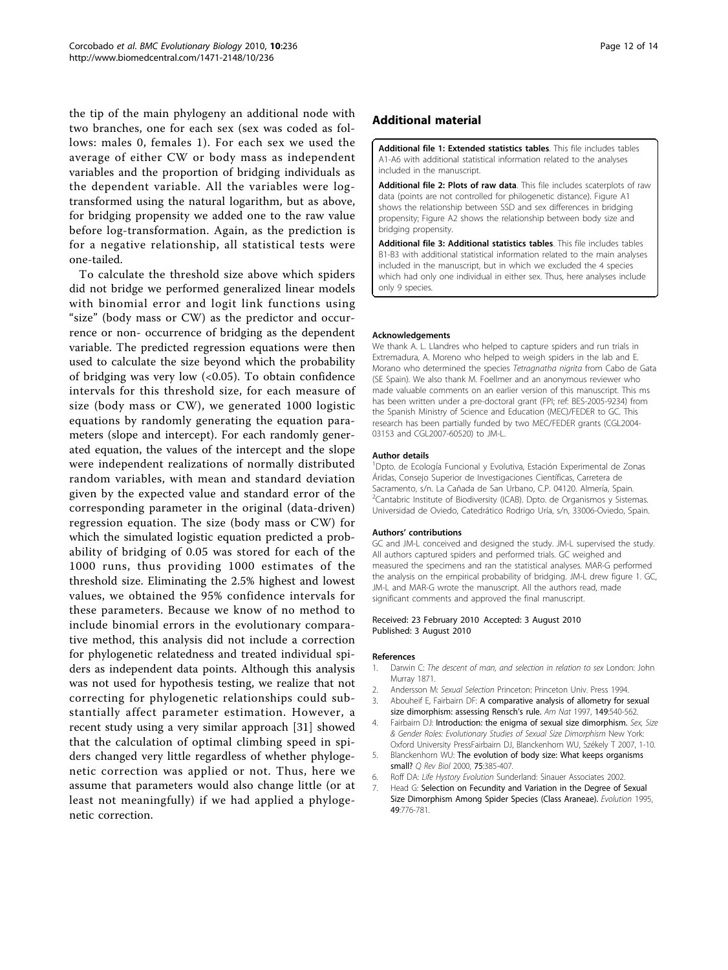<span id="page-11-0"></span>the tip of the main phylogeny an additional node with two branches, one for each sex (sex was coded as follows: males 0, females 1). For each sex we used the average of either CW or body mass as independent variables and the proportion of bridging individuals as the dependent variable. All the variables were logtransformed using the natural logarithm, but as above, for bridging propensity we added one to the raw value before log-transformation. Again, as the prediction is for a negative relationship, all statistical tests were one-tailed.

To calculate the threshold size above which spiders did not bridge we performed generalized linear models with binomial error and logit link functions using "size" (body mass or CW) as the predictor and occurrence or non- occurrence of bridging as the dependent variable. The predicted regression equations were then used to calculate the size beyond which the probability of bridging was very low (<0.05). To obtain confidence intervals for this threshold size, for each measure of size (body mass or CW), we generated 1000 logistic equations by randomly generating the equation parameters (slope and intercept). For each randomly generated equation, the values of the intercept and the slope were independent realizations of normally distributed random variables, with mean and standard deviation given by the expected value and standard error of the corresponding parameter in the original (data-driven) regression equation. The size (body mass or CW) for which the simulated logistic equation predicted a probability of bridging of 0.05 was stored for each of the 1000 runs, thus providing 1000 estimates of the threshold size. Eliminating the 2.5% highest and lowest values, we obtained the 95% confidence intervals for these parameters. Because we know of no method to include binomial errors in the evolutionary comparative method, this analysis did not include a correction for phylogenetic relatedness and treated individual spiders as independent data points. Although this analysis was not used for hypothesis testing, we realize that not correcting for phylogenetic relationships could substantially affect parameter estimation. However, a recent study using a very similar approach [[31\]](#page-12-0) showed that the calculation of optimal climbing speed in spiders changed very little regardless of whether phylogenetic correction was applied or not. Thus, here we assume that parameters would also change little (or at least not meaningfully) if we had applied a phylogenetic correction.

# Additional material

[Additional file 1: E](http://www.biomedcentral.com/content/supplementary/1471-2148-10-236-S1.PDF)xtended statistics tables. This file includes tables A1-A6 with additional statistical information related to the analyses included in the manuscript.

[Additional file 2: P](http://www.biomedcentral.com/content/supplementary/1471-2148-10-236-S2.PDF)lots of raw data. This file includes scaterplots of raw data (points are not controlled for philogenetic distance). Figure A1 shows the relationship between SSD and sex differences in bridging propensity; Figure A2 shows the relationship between body size and bridging propensity.

[Additional file 3: A](http://www.biomedcentral.com/content/supplementary/1471-2148-10-236-S3.PDF)dditional statistics tables. This file includes tables B1-B3 with additional statistical information related to the main analyses included in the manuscript, but in which we excluded the 4 species which had only one individual in either sex. Thus, here analyses include only 9 species.

#### Acknowledgements

We thank A. L. Llandres who helped to capture spiders and run trials in Extremadura, A. Moreno who helped to weigh spiders in the lab and E. Morano who determined the species Tetragnatha nigrita from Cabo de Gata (SE Spain). We also thank M. Foellmer and an anonymous reviewer who made valuable comments on an earlier version of this manuscript. This ms has been written under a pre-doctoral grant (FPI; ref: BES-2005-9234) from the Spanish Ministry of Science and Education (MEC)/FEDER to GC. This research has been partially funded by two MEC/FEDER grants (CGL2004- 03153 and CGL2007-60520) to JM-L.

#### Author details

<sup>1</sup>Dpto. de Ecología Funcional y Evolutiva, Estación Experimental de Zonas Áridas, Consejo Superior de Investigaciones Científicas, Carretera de Sacramento, s/n. La Cañada de San Urbano, C.P. 04120. Almería, Spain. <sup>2</sup>Cantabric Institute of Biodiversity (ICAB). Dpto. de Organismos y Sistemas Universidad de Oviedo, Catedrático Rodrigo Uría, s/n, 33006-Oviedo, Spain.

#### Authors' contributions

GC and JM-L conceived and designed the study. JM-L supervised the study. All authors captured spiders and performed trials. GC weighed and measured the specimens and ran the statistical analyses. MAR-G performed the analysis on the empirical probability of bridging. JM-L drew figure [1.](#page-3-0) GC, JM-L and MAR-G wrote the manuscript. All the authors read, made significant comments and approved the final manuscript.

#### Received: 23 February 2010 Accepted: 3 August 2010 Published: 3 August 2010

#### References

- 1. Darwin C: The descent of man, and selection in relation to sex London: John Murray 1871.
- 2. Andersson M: Sexual Selection Princeton: Princeton Univ. Press 1994.
- 3. Abouheif E, Fairbairn DF: A comparative analysis of allometry for sexual size dimorphism: assessing Rensch's rule. Am Nat 1997, 149:540-562.
- Fairbairn DJ: Introduction: the enigma of sexual size dimorphism. Sex, Size & Gender Roles: Evolutionary Studies of Sexual Size Dimorphism New York: Oxford University PressFairbairn DJ, Blanckenhorn WU, Székely T 2007, 1-10.
- Blanckenhorn WU: [The evolution of body size: What keeps organisms](http://www.ncbi.nlm.nih.gov/pubmed/11125698?dopt=Abstract) [small?](http://www.ncbi.nlm.nih.gov/pubmed/11125698?dopt=Abstract) Q Rev Biol 2000, 75:385-407.
- 6. Roff DA: Life Hystory Evolution Sunderland: Sinauer Associates 2002.
- Head G: Selection on Fecundity and Variation in the Degree of Sexual Size Dimorphism Among Spider Species (Class Araneae). Evolution 1995, 49:776-781.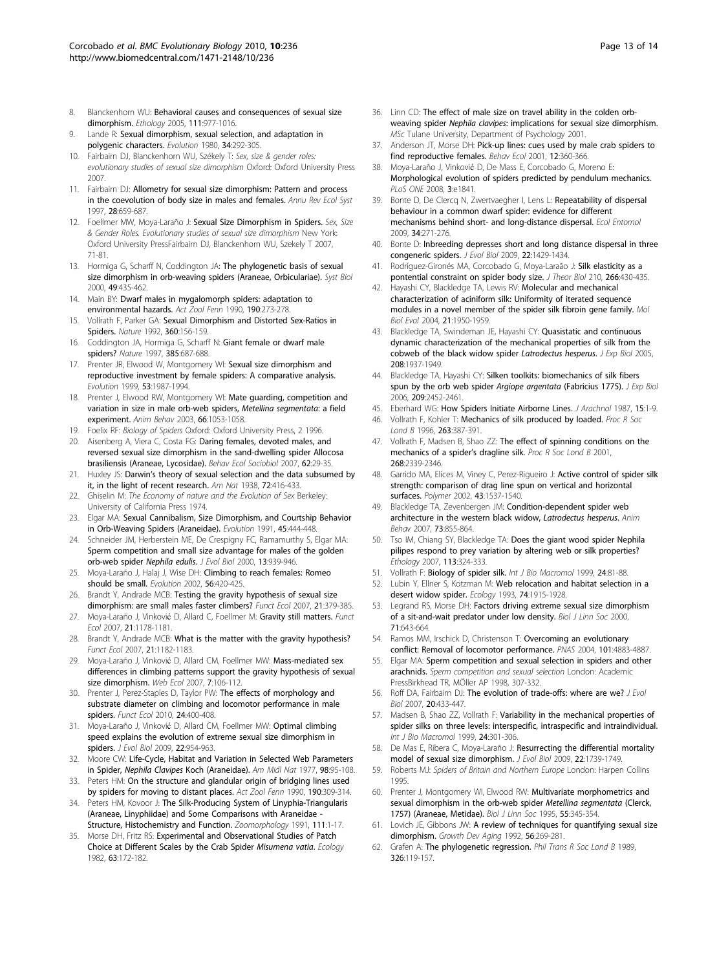- <span id="page-12-0"></span>8. Blanckenhorn WU: Behavioral causes and consequences of sexual size dimorphism. Ethology 2005, 111:977-1016.
- 9. Lande R: Sexual dimorphism, sexual selection, and adaptation in polygenic characters. Evolution 1980, 34:292-305.
- 10. Fairbairn DJ, Blanckenhorn WU, Székely T: Sex, size & gender roles: evolutionary studies of sexual size dimorphism Oxford: Oxford University Press 2007.
- 11. Fairbairn DJ: Allometry for sexual size dimorphism: Pattern and process in the coevolution of body size in males and females. Annu Rev Ecol Syst 1997, 28:659-687.
- 12. Foellmer MW, Moya-Laraño J: Sexual Size Dimorphism in Spiders. Sex, Size & Gender Roles. Evolutionary studies of sexual size dimorphism New York: Oxford University PressFairbairn DJ, Blanckenhorn WU, Szekely T 2007, 71-81.
- 13. Hormiga G, Scharff N, Coddington JA: [The phylogenetic basis of sexual](http://www.ncbi.nlm.nih.gov/pubmed/12116421?dopt=Abstract) [size dimorphism in orb-weaving spiders \(Araneae, Orbiculariae\).](http://www.ncbi.nlm.nih.gov/pubmed/12116421?dopt=Abstract) Syst Biol 2000, 49:435-462.
- 14. Main BY: Dwarf males in mygalomorph spiders: adaptation to environmental hazards. Act Zool Fenn 1990, 190:273-278.
- 15. Vollrath F, Parker GA: Sexual Dimorphism and Distorted Sex-Ratios in Spiders. Nature 1992, 360:156-159.
- 16. Coddington JA, Hormiga G, Scharff N: Giant female or dwarf male spiders? Nature 1997, 385:687-688.
- 17. Prenter JR, Elwood W, Montgomery WI: Sexual size dimorphism and reproductive investment by female spiders: A comparative analysis. Evolution 1999, 53:1987-1994.
- 18. Prenter J, Elwood RW, Montgomery WI: Mate guarding, competition and variation in size in male orb-web spiders, Metellina segmentata: a field experiment. Anim Behav 2003, 66:1053-1058.
- 19. Foelix RF: Biology of Spiders Oxford: Oxford University Press, 2 1996.
- 20. Aisenberg A, Viera C, Costa FG: Daring females, devoted males, and reversed sexual size dimorphism in the sand-dwelling spider Allocosa brasiliensis (Araneae, Lycosidae). Behav Ecol Sociobiol 2007, 62:29-35.
- 21. Huxley JS: Darwin's theory of sexual selection and the data subsumed by it, in the light of recent research. Am Nat 1938, 72:416-433.
- 22. Ghiselin M: The Economy of nature and the Evolution of Sex Berkeley: University of California Press 1974.
- 23. Elgar MA: Sexual Cannibalism, Size Dimorphism, and Courtship Behavior in Orb-Weaving Spiders (Araneidae). Evolution 1991, 45:444-448.
- 24. Schneider JM, Herberstein ME, De Crespigny FC, Ramamurthy S, Elgar MA: Sperm competition and small size advantage for males of the golden orb-web spider Nephila edulis. J Evol Biol 2000, 13:939-946.
- 25. Moya-Laraño J, Halaj J, Wise DH: [Climbing to reach females: Romeo](http://www.ncbi.nlm.nih.gov/pubmed/11926508?dopt=Abstract) [should be small.](http://www.ncbi.nlm.nih.gov/pubmed/11926508?dopt=Abstract) Evolution 2002, 56:420-425.
- 26. Brandt Y, Andrade MCB: Testing the gravity hypothesis of sexual size dimorphism: are small males faster climbers? Funct Ecol 2007, 21:379-385.
- 27. Moya-Laraño J, Vinković D, Allard C, Foellmer M: Gravity still matters. Funct Ecol 2007, 21:1178-1181.
- 28. Brandt Y, Andrade MCB: What is the matter with the gravity hypothesis? Funct Ecol 2007, 21:1182-1183.
- 29. Moya-Laraño J, Vinković D, Allard CM, Foellmer MW: Mass-mediated sex differences in climbing patterns support the gravity hypothesis of sexual size dimorphism. Web Ecol 2007, 7:106-112.
- 30. Prenter J, Perez-Staples D, Taylor PW: The effects of morphology and substrate diameter on climbing and locomotor performance in male spiders. Funct Ecol 2010, 24:400-408.
- 31. Moya-Laraño J, Vinković D, Allard CM, Foellmer MW: [Optimal climbing](http://www.ncbi.nlm.nih.gov/pubmed/19243487?dopt=Abstract) [speed explains the evolution of extreme sexual size dimorphism in](http://www.ncbi.nlm.nih.gov/pubmed/19243487?dopt=Abstract) [spiders.](http://www.ncbi.nlm.nih.gov/pubmed/19243487?dopt=Abstract) *J Fvol Biol 2009*, 22:954-963.
- 32. Moore CW: Life-Cycle, Habitat and Variation in Selected Web Parameters in Spider, Nephila Clavipes Koch (Araneidae). Am Midl Nat 1977, 98:95-108.
- 33. Peters HM: On the structure and glandular origin of bridging lines used by spiders for moving to distant places. Act Zool Fenn 1990, 190:309-314.
- 34. Peters HM, Kovoor J: The Silk-Producing System of Linyphia-Triangularis (Araneae, Linyphiidae) and Some Comparisons with Araneidae - Structure, Histochemistry and Function. Zoomorphology 1991, 111:1-17.
- 35. Morse DH, Fritz RS: Experimental and Observational Studies of Patch Choice at Different Scales by the Crab Spider Misumena vatia. Ecology 1982, 63:172-182.
- 36. Linn CD: The effect of male size on travel ability in the colden orbweaving spider Nephila clavipes: implications for sexual size dimorphism. MSc Tulane University, Department of Psychology 2001.
- 37. Anderson JT, Morse DH: Pick-up lines: cues used by male crab spiders to find reproductive females. Behav Ecol 2001, 12:360-366.
- 38. Moya-Laraño J, Vinković D, De Mass E, Corcobado G, Moreno E: [Morphological evolution of spiders predicted by pendulum mechanics.](http://www.ncbi.nlm.nih.gov/pubmed/18364999?dopt=Abstract) PLoS ONE 2008, 3:e1841.
- 39. Bonte D, De Clercq N, Zwertvaegher I, Lens L: Repeatability of dispersal behaviour in a common dwarf spider: evidence for different mechanisms behind short- and long-distance dispersal. Ecol Entomol 2009, 34:271-276.
- 40. Bonte D: [Inbreeding depresses short and long distance dispersal in three](http://www.ncbi.nlm.nih.gov/pubmed/19460080?dopt=Abstract) [congeneric spiders.](http://www.ncbi.nlm.nih.gov/pubmed/19460080?dopt=Abstract) J Evol Biol 2009, 22:1429-1434.
- 41. Rodríguez-Gironés MA, Corcobado G, Moya-Laraão J: [Silk elasticity as a](http://www.ncbi.nlm.nih.gov/pubmed/20600136?dopt=Abstract) [pontential constraint on spider body size.](http://www.ncbi.nlm.nih.gov/pubmed/20600136?dopt=Abstract) J Theor Biol 210, 266:430-435.
- 42. Hayashi CY, Blackledge TA, Lewis RV: [Molecular and mechanical](http://www.ncbi.nlm.nih.gov/pubmed/15240839?dopt=Abstract) [characterization of aciniform silk: Uniformity of iterated sequence](http://www.ncbi.nlm.nih.gov/pubmed/15240839?dopt=Abstract) [modules in a novel member of the spider silk fibroin gene family.](http://www.ncbi.nlm.nih.gov/pubmed/15240839?dopt=Abstract) Mol Biol Evol 2004, 21:1950-1959.
- 43. Blackledge TA, Swindeman JE, Hayashi CY: [Quasistatic and continuous](http://www.ncbi.nlm.nih.gov/pubmed/15879074?dopt=Abstract) [dynamic characterization of the mechanical properties of silk from the](http://www.ncbi.nlm.nih.gov/pubmed/15879074?dopt=Abstract) [cobweb of the black widow spider](http://www.ncbi.nlm.nih.gov/pubmed/15879074?dopt=Abstract) Latrodectus hesperus. J Exp Biol 2005, 208:1937-1949.
- 44. Blackledge TA, Hayashi CY: [Silken toolkits: biomechanics of silk fibers](http://www.ncbi.nlm.nih.gov/pubmed/16788028?dopt=Abstract) [spun by the orb web spider](http://www.ncbi.nlm.nih.gov/pubmed/16788028?dopt=Abstract) Argiope argentata (Fabricius 1775). J Exp Biol 2006, 209:2452-2461.
- 45. Eberhard WG: How Spiders Initiate Airborne Lines. J Arachnol 1987, 15:1-9.
- 46. Vollrath F, Kohler T: Mechanics of silk produced by loaded. Proc R Soc Lond B 1996, 263:387-391.
- 47. Vollrath F, Madsen B, Shao ZZ: The effect of spinning conditions on the mechanics of a spider's dragline silk. Proc R Soc Lond B 2001, 268:2339-2346.
- 48. Garrido MA, Elices M, Viney C, Perez-Rigueiro J: Active control of spider silk strength: comparison of drag line spun on vertical and horizontal surfaces. Polymer 2002, 43:1537-1540.
- 49. Blackledge TA, Zevenbergen JM: Condition-dependent spider web architecture in the western black widow, Latrodectus hesperus. Anim Behav 2007, 73:855-864.
- 50. Tso IM, Chiang SY, Blackledge TA: Does the giant wood spider Nephila pilipes respond to prey variation by altering web or silk properties? Ethology 2007, 113:324-333.
- 51. Vollrath F: Biology of spider silk. Int J Bio Macromol 1999, 24:81-88.
- 52. Lubin Y, Ellner S, Kotzman M: Web relocation and habitat selection in a desert widow spider. Ecology 1993, 74:1915-1928.
- 53. Legrand RS, Morse DH: Factors driving extreme sexual size dimorphism of a sit-and-wait predator under low density. Biol J Linn Soc 2000, 71:643-664.
- 54. Ramos MM, Irschick D, Christenson T: [Overcoming an evolutionary](http://www.ncbi.nlm.nih.gov/pubmed/15034176?dopt=Abstract) [conflict: Removal of locomotor performance.](http://www.ncbi.nlm.nih.gov/pubmed/15034176?dopt=Abstract) PNAS 2004, 101:4883-4887.
- 55. Elgar MA: Sperm competition and sexual selection in spiders and other arachnids. Sperm competition and sexual selection London: Academic PressBirkhead TR, MÖller AP 1998, 307-332.
- 56. Roff DA, Fairbairn DJ: [The evolution of trade-offs: where are we?](http://www.ncbi.nlm.nih.gov/pubmed/17305809?dopt=Abstract) J Evol Biol 2007, 20:433-447.
- 57. Madsen B, Shao ZZ, Vollrath F: Variability in the mechanical properties of spider silks on three levels: interspecific, intraspecific and intraindividual. Int J Bio Macromol 1999, 24:301-306.
- 58. De Mas E, Ribera C, Moya-Laraño J: [Resurrecting the differential mortality](http://www.ncbi.nlm.nih.gov/pubmed/19627415?dopt=Abstract) [model of sexual size dimorphism.](http://www.ncbi.nlm.nih.gov/pubmed/19627415?dopt=Abstract) J Evol Biol 2009, 22:1739-1749.
- 59. Roberts MJ: Spiders of Britain and Northern Europe London: Harpen Collins 1995.
- 60. Prenter J, Montgomery WI, Elwood RW: Multivariate morphometrics and sexual dimorphism in the orb-web spider Metellina segmentata (Clerck, 1757) (Araneae, Metidae). Biol J Linn Soc 1995, 55:345-354.
- 61. Lovich JE, Gibbons JW: [A review of techniques for quantifying sexual size](http://www.ncbi.nlm.nih.gov/pubmed/1487365?dopt=Abstract) [dimorphism.](http://www.ncbi.nlm.nih.gov/pubmed/1487365?dopt=Abstract) Growth Dev Aging 1992, 56:269-281.
- 62. Grafen A: The phylogenetic regression. Phil Trans R Soc Lond B 1989, 326:119-157.